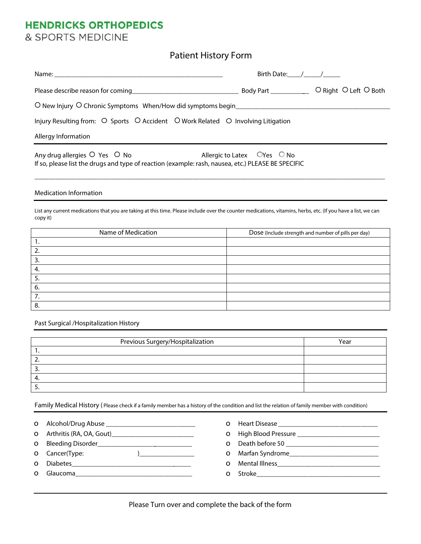# **HENDRICKS ORTHOPEDICS**

& SPORTS MEDICINE

**Patient History Form**

|                                                                                                                                                                                                                           | Birth Date: / / |  |
|---------------------------------------------------------------------------------------------------------------------------------------------------------------------------------------------------------------------------|-----------------|--|
|                                                                                                                                                                                                                           |                 |  |
| O New Injury O Chronic Symptoms When/How did symptoms begin                                                                                                                                                               |                 |  |
| Injury Resulting from: $\circ$ Sports $\circ$ Accident $\circ$ Work Related $\circ$ Involving Litigation                                                                                                                  |                 |  |
| Allergy Information                                                                                                                                                                                                       |                 |  |
| Any drug allergies $\circ$ Yes $\circ$ No<br><b>Allergic to Latex <math>\circ</math> OYes <math>\circ</math> No</b><br>If so, please list the drugs and type of reaction (example: rash, nausea, etc.) PLEASE BE SPECIFIC |                 |  |
| <b>Medication Information</b>                                                                                                                                                                                             |                 |  |
| List any current medications that you are taking at this time. Please include over the counter medications, vitamins, herbs, etc. (If you have a list, we can<br>copy it)                                                 |                 |  |

| Name of Medication | Dose (Include strength and number of pills per day) |  |
|--------------------|-----------------------------------------------------|--|
| . .                |                                                     |  |
|                    |                                                     |  |
|                    |                                                     |  |
|                    |                                                     |  |
|                    |                                                     |  |
| 6.                 |                                                     |  |
|                    |                                                     |  |
|                    |                                                     |  |

**Past Surgical /Hospitalization History**

| Previous Surgery/Hospitalization | Year |
|----------------------------------|------|
|                                  |      |
|                                  |      |
|                                  |      |
|                                  |      |
|                                  |      |

Family Medical History (Please check if a family member has a history of the condition and list the relation of family member with condition)

|  | O Alcohol/Drug Abuse |  |
|--|----------------------|--|

- o Arthritis (RA, OA, Gout)\_\_\_\_\_\_\_\_\_\_\_\_\_\_\_\_\_\_\_\_\_\_\_\_
- **0** Bleeding Disorder\_\_\_\_\_\_\_\_\_\_\_\_\_\_\_\_\_\_\_\_\_\_\_\_\_\_\_\_\_\_\_
- o Cancer(Type: )\_\_\_\_\_\_\_\_\_\_\_\_\_\_\_\_
- o Diabetes\_\_\_\_\_\_\_\_\_\_\_\_\_\_\_\_\_\_\_\_\_\_\_\_\_\_\_\_\_\_\_\_\_\_\_
- **o** Glaucoma
- o Heart Disease **\_\_\_\_\_\_\_\_\_\_\_\_\_\_\_\_\_\_\_\_\_\_\_\_\_\_\_\_\_** o High Blood Pressure \_\_\_\_\_\_\_\_\_\_\_\_\_\_\_\_\_\_\_\_\_\_\_\_ o Death before 50 \_\_\_\_\_\_\_\_\_\_\_\_\_\_\_\_\_\_\_\_\_\_\_\_\_\_\_ o Marfan Syndrome\_\_\_\_\_\_\_\_\_\_\_\_\_\_\_\_\_\_\_\_\_\_\_\_\_\_ o Mental Illness\_\_\_\_\_\_\_\_\_\_\_\_\_\_\_\_\_\_\_\_\_\_\_\_\_\_\_\_\_\_ o Stroke\_\_\_\_\_\_\_\_\_\_\_\_\_\_\_\_\_\_\_\_\_\_\_\_\_\_\_\_\_\_\_\_\_\_\_\_